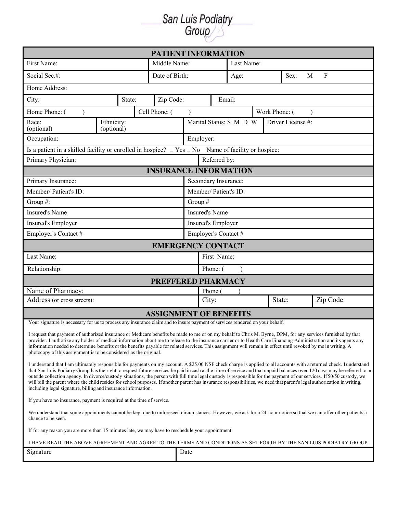San Luis Podiatry

| <b>PATIENT INFORMATION</b>                                                                                                                                                                                                                                                                                                                                                                                                                                                                                                                                                                                                                                                                                                                                               |                              |                           |              |  |        |                                              |   |           |  |  |  |  |  |
|--------------------------------------------------------------------------------------------------------------------------------------------------------------------------------------------------------------------------------------------------------------------------------------------------------------------------------------------------------------------------------------------------------------------------------------------------------------------------------------------------------------------------------------------------------------------------------------------------------------------------------------------------------------------------------------------------------------------------------------------------------------------------|------------------------------|---------------------------|--------------|--|--------|----------------------------------------------|---|-----------|--|--|--|--|--|
| First Name:                                                                                                                                                                                                                                                                                                                                                                                                                                                                                                                                                                                                                                                                                                                                                              | Middle Name:                 |                           | Last Name:   |  |        |                                              |   |           |  |  |  |  |  |
| Social Sec.#:                                                                                                                                                                                                                                                                                                                                                                                                                                                                                                                                                                                                                                                                                                                                                            | Date of Birth:               |                           | Sex:<br>Age: |  |        |                                              | M | $\rm F$   |  |  |  |  |  |
| Home Address:                                                                                                                                                                                                                                                                                                                                                                                                                                                                                                                                                                                                                                                                                                                                                            |                              |                           |              |  |        |                                              |   |           |  |  |  |  |  |
| City:<br>State:                                                                                                                                                                                                                                                                                                                                                                                                                                                                                                                                                                                                                                                                                                                                                          | Zip Code:                    |                           | Email:       |  |        |                                              |   |           |  |  |  |  |  |
| Home Phone: (                                                                                                                                                                                                                                                                                                                                                                                                                                                                                                                                                                                                                                                                                                                                                            | Cell Phone: (                |                           |              |  |        | Work Phone: (                                |   |           |  |  |  |  |  |
| Ethnicity:<br>Race:<br>(optional)<br>(optional)                                                                                                                                                                                                                                                                                                                                                                                                                                                                                                                                                                                                                                                                                                                          |                              |                           |              |  |        | Marital Status: S M D W<br>Driver License #: |   |           |  |  |  |  |  |
| Occupation:<br>Employer:                                                                                                                                                                                                                                                                                                                                                                                                                                                                                                                                                                                                                                                                                                                                                 |                              |                           |              |  |        |                                              |   |           |  |  |  |  |  |
| Is a patient in a skilled facility or enrolled in hospice? $\Box$ Yes $\Box$ No Name of facility or hospice:                                                                                                                                                                                                                                                                                                                                                                                                                                                                                                                                                                                                                                                             |                              |                           |              |  |        |                                              |   |           |  |  |  |  |  |
| Primary Physician:                                                                                                                                                                                                                                                                                                                                                                                                                                                                                                                                                                                                                                                                                                                                                       |                              |                           | Referred by: |  |        |                                              |   |           |  |  |  |  |  |
|                                                                                                                                                                                                                                                                                                                                                                                                                                                                                                                                                                                                                                                                                                                                                                          | <b>INSURANCE INFORMATION</b> |                           |              |  |        |                                              |   |           |  |  |  |  |  |
| Primary Insurance:                                                                                                                                                                                                                                                                                                                                                                                                                                                                                                                                                                                                                                                                                                                                                       |                              | Secondary Insurance:      |              |  |        |                                              |   |           |  |  |  |  |  |
| Member/ Patient's ID:                                                                                                                                                                                                                                                                                                                                                                                                                                                                                                                                                                                                                                                                                                                                                    |                              | Member/ Patient's ID:     |              |  |        |                                              |   |           |  |  |  |  |  |
| Group #:                                                                                                                                                                                                                                                                                                                                                                                                                                                                                                                                                                                                                                                                                                                                                                 |                              | Group #                   |              |  |        |                                              |   |           |  |  |  |  |  |
| <b>Insured's Name</b>                                                                                                                                                                                                                                                                                                                                                                                                                                                                                                                                                                                                                                                                                                                                                    |                              | <b>Insured's Name</b>     |              |  |        |                                              |   |           |  |  |  |  |  |
| Insured's Employer                                                                                                                                                                                                                                                                                                                                                                                                                                                                                                                                                                                                                                                                                                                                                       |                              | <b>Insured's Employer</b> |              |  |        |                                              |   |           |  |  |  |  |  |
| Employer's Contact #                                                                                                                                                                                                                                                                                                                                                                                                                                                                                                                                                                                                                                                                                                                                                     |                              | Employer's Contact #      |              |  |        |                                              |   |           |  |  |  |  |  |
| <b>EMERGENCY CONTACT</b>                                                                                                                                                                                                                                                                                                                                                                                                                                                                                                                                                                                                                                                                                                                                                 |                              |                           |              |  |        |                                              |   |           |  |  |  |  |  |
| Last Name:                                                                                                                                                                                                                                                                                                                                                                                                                                                                                                                                                                                                                                                                                                                                                               | First Name:                  |                           |              |  |        |                                              |   |           |  |  |  |  |  |
| Relationship:                                                                                                                                                                                                                                                                                                                                                                                                                                                                                                                                                                                                                                                                                                                                                            | Phone: (                     |                           |              |  |        |                                              |   |           |  |  |  |  |  |
| <b>PREFFERED PHARMACY</b>                                                                                                                                                                                                                                                                                                                                                                                                                                                                                                                                                                                                                                                                                                                                                |                              |                           |              |  |        |                                              |   |           |  |  |  |  |  |
| Name of Pharmacy:                                                                                                                                                                                                                                                                                                                                                                                                                                                                                                                                                                                                                                                                                                                                                        |                              |                           | Phone (      |  |        |                                              |   |           |  |  |  |  |  |
| Address (or cross streets):                                                                                                                                                                                                                                                                                                                                                                                                                                                                                                                                                                                                                                                                                                                                              | City:                        |                           |              |  | State: |                                              |   | Zip Code: |  |  |  |  |  |
| <b>ASSIGNMENT OF BENEFITS</b>                                                                                                                                                                                                                                                                                                                                                                                                                                                                                                                                                                                                                                                                                                                                            |                              |                           |              |  |        |                                              |   |           |  |  |  |  |  |
| Your signature is necessary for us to process any insurance claim and to insure payment of services rendered on your behalf.                                                                                                                                                                                                                                                                                                                                                                                                                                                                                                                                                                                                                                             |                              |                           |              |  |        |                                              |   |           |  |  |  |  |  |
| I request that payment of authorized insurance or Medicare benefits be made to me or on my behalf to Chris M. Byrne, DPM, for any services furnished by that<br>provider. I authorize any holder of medical information about me to release to the insurance carrier or to Health Care Financing Administration and its agents any<br>information needed to determine benefits or the benefits payable for related services. This assignment will remain in effect until revoked by me in writing. A<br>photocopy of this assignment is to be considered as the original.                                                                                                                                                                                                |                              |                           |              |  |        |                                              |   |           |  |  |  |  |  |
| I understand that I am ultimately responsible for payments on my account. A \$25.00 NSF check charge is applied to all accounts with a returned check. I understand<br>that San Luis Podiatry Group has the right to request future services be paid in cash at the time of service and that unpaid balances over 120 days may be referred to an<br>outside collection agency. In divorce/custody situations, the person with full time legal custody is responsible for the payment of our services. If 50/50 custody, we<br>will bill the parent where the child resides for school purposes. If another parent has insurance responsibilities, we need that parent's legal authorization in writing,<br>including legal signature, billing and insurance information. |                              |                           |              |  |        |                                              |   |           |  |  |  |  |  |
| If you have no insurance, payment is required at the time of service.                                                                                                                                                                                                                                                                                                                                                                                                                                                                                                                                                                                                                                                                                                    |                              |                           |              |  |        |                                              |   |           |  |  |  |  |  |
| We understand that some appointments cannot be kept due to unforeseen circumstances. However, we ask for a 24-hour notice so that we can offer other patients a<br>chance to be seen.                                                                                                                                                                                                                                                                                                                                                                                                                                                                                                                                                                                    |                              |                           |              |  |        |                                              |   |           |  |  |  |  |  |
| If for any reason you are more than 15 minutes late, we may have to reschedule your appointment.                                                                                                                                                                                                                                                                                                                                                                                                                                                                                                                                                                                                                                                                         |                              |                           |              |  |        |                                              |   |           |  |  |  |  |  |
| I HAVE READ THE ABOVE AGREEMENT AND AGREE TO THE TERMS AND CONDITIONS AS SET FORTH BY THE SAN LUIS PODIATRY GROUP.                                                                                                                                                                                                                                                                                                                                                                                                                                                                                                                                                                                                                                                       |                              |                           |              |  |        |                                              |   |           |  |  |  |  |  |
| Signature                                                                                                                                                                                                                                                                                                                                                                                                                                                                                                                                                                                                                                                                                                                                                                |                              | Date                      |              |  |        |                                              |   |           |  |  |  |  |  |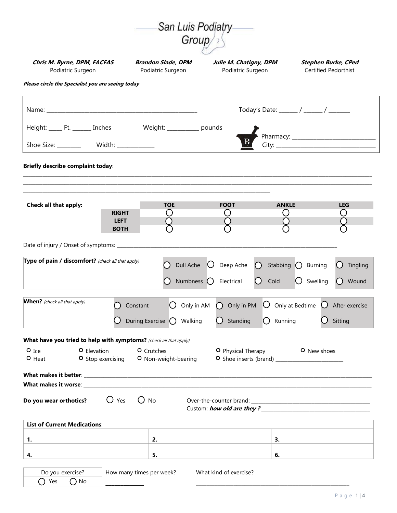|                                                                   |                                                | San Luis Podiatry-               |                                             |                                                                                                                                                                                                                                        |  |  |  |  |
|-------------------------------------------------------------------|------------------------------------------------|----------------------------------|---------------------------------------------|----------------------------------------------------------------------------------------------------------------------------------------------------------------------------------------------------------------------------------------|--|--|--|--|
|                                                                   |                                                | Group/                           |                                             |                                                                                                                                                                                                                                        |  |  |  |  |
| Chris M. Byrne, DPM, FACFAS<br>Podiatric Surgeon                  | <b>Brandon Slade, DPM</b><br>Podiatric Surgeon |                                  | Julie M. Chatigny, DPM<br>Podiatric Surgeon | <b>Stephen Burke, CPed</b><br>Certified Pedorthist                                                                                                                                                                                     |  |  |  |  |
| Please circle the Specialist you are seeing today                 |                                                |                                  |                                             |                                                                                                                                                                                                                                        |  |  |  |  |
|                                                                   |                                                |                                  |                                             | Today's Date: ______ / ______ / _______                                                                                                                                                                                                |  |  |  |  |
| Height: _______ Ft. ________ Inches                               | Weight: _____________ pounds                   |                                  |                                             |                                                                                                                                                                                                                                        |  |  |  |  |
| Shoe Size: __________ Width: ____________                         |                                                |                                  |                                             |                                                                                                                                                                                                                                        |  |  |  |  |
| <b>Briefly describe complaint today:</b>                          |                                                |                                  |                                             |                                                                                                                                                                                                                                        |  |  |  |  |
|                                                                   |                                                |                                  |                                             |                                                                                                                                                                                                                                        |  |  |  |  |
| Check all that apply:                                             | <b>TOE</b><br><b>RIGHT</b><br>( )              | <b>FOOT</b>                      | <b>ANKLE</b><br>U                           | <b>LEG</b><br>( )                                                                                                                                                                                                                      |  |  |  |  |
|                                                                   | <b>LEFT</b><br><b>BOTH</b>                     |                                  |                                             |                                                                                                                                                                                                                                        |  |  |  |  |
|                                                                   |                                                |                                  |                                             |                                                                                                                                                                                                                                        |  |  |  |  |
| Type of pain / discomfort? (check all that apply)                 | . .                                            | Dull Ache<br>Ő                   | Deep Ache<br>Stabbing $\bigcirc$<br>( )     | $\left( \right)$<br>Tingling<br>Burning                                                                                                                                                                                                |  |  |  |  |
|                                                                   |                                                | Numbness $\bigcap$<br>Electrical | $\bigcirc$<br>Cold                          | $\bigcirc$ Swelling<br>Wound<br>$\Box$                                                                                                                                                                                                 |  |  |  |  |
|                                                                   |                                                |                                  |                                             |                                                                                                                                                                                                                                        |  |  |  |  |
| <b>When?</b> (check all that apply)                               | Constant<br>( )                                | Only in AM                       | $\bigcap$ Only in PM<br>Ő                   | Only at Bedtime<br>$\bigcup$ After exercise                                                                                                                                                                                            |  |  |  |  |
|                                                                   | During Exercise $\bigcap$                      | Walking<br>( )                   | Standing<br>Running<br>( )                  | Sitting                                                                                                                                                                                                                                |  |  |  |  |
| What have you tried to help with symptoms? (check all that apply) |                                                |                                  |                                             |                                                                                                                                                                                                                                        |  |  |  |  |
| $O$ Ice<br>O Elevation<br>O Stop exercising<br>$O$ Heat           | O Crutches<br>O Non-weight-bearing             |                                  | <b>O</b> Physical Therapy                   | O New shoes                                                                                                                                                                                                                            |  |  |  |  |
|                                                                   |                                                |                                  |                                             |                                                                                                                                                                                                                                        |  |  |  |  |
| What makes it worse: _                                            |                                                |                                  |                                             |                                                                                                                                                                                                                                        |  |  |  |  |
| Do you wear orthotics?                                            | $\bigcup$ Yes<br>$\bigcup$ No                  |                                  |                                             | Custom: how old are they?<br><u> Letter and they and the set of the set of the set of the set of the set of the set of the set of the set of the set of the set of the set of the set of the set of the set of the set of the set </u> |  |  |  |  |
| <b>List of Current Medications:</b>                               |                                                |                                  |                                             |                                                                                                                                                                                                                                        |  |  |  |  |
| 1.                                                                | 2.                                             |                                  | 3.                                          |                                                                                                                                                                                                                                        |  |  |  |  |
| 4.                                                                | 5.                                             |                                  | 6.                                          |                                                                                                                                                                                                                                        |  |  |  |  |
| Do you exercise?                                                  | How many times per week?                       | What kind of exercise?           |                                             |                                                                                                                                                                                                                                        |  |  |  |  |
| $\bigcirc$ No<br>$\bigcap$ Yes                                    |                                                |                                  |                                             |                                                                                                                                                                                                                                        |  |  |  |  |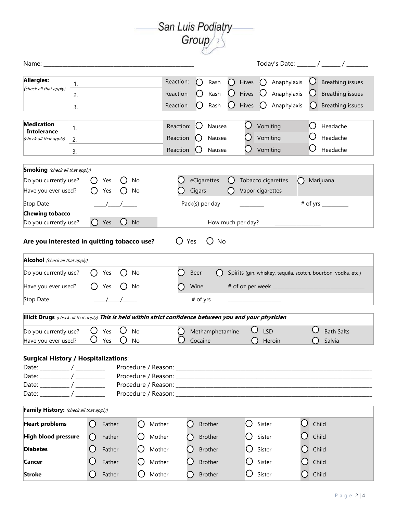

|                                                                                                                        |                |                        |            |        |          |        |                                   |                       |                            |        |                         |                                  |                                                               |     |           |                                             | Today's Date: ______ / ______ / ______                          |
|------------------------------------------------------------------------------------------------------------------------|----------------|------------------------|------------|--------|----------|--------|-----------------------------------|-----------------------|----------------------------|--------|-------------------------|----------------------------------|---------------------------------------------------------------|-----|-----------|---------------------------------------------|-----------------------------------------------------------------|
| <b>Allergies:</b><br>(check all that apply)                                                                            | 1.<br>2.<br>3. |                        |            |        |          |        | Reaction:<br>Reaction<br>Reaction | ()                    | Rash<br>Rash<br>Rash       | ()     | Hives<br>Hives<br>Hives |                                  | Anaphylaxis<br>Anaphylaxis<br>Anaphylaxis                     |     |           |                                             | Breathing issues<br><b>Breathing issues</b><br>Breathing issues |
| <b>Medication</b><br><b>Intolerance</b><br>(check all that apply)                                                      | 1.<br>2.<br>3. |                        |            |        |          |        | Reaction:<br>Reaction<br>Reaction | ( )                   | Nausea<br>Nausea<br>Nausea |        |                         | Vomiting<br>Vomiting<br>Vomiting |                                                               |     |           | Headache<br>Headache<br>Headache            |                                                                 |
| <b>Smoking</b> (check all that apply)<br>Do you currently use?<br>Have you ever used?                                  |                | 0                      | Yes<br>Yes | ( )    | No<br>No |        |                                   | eCigarettes<br>Cigars |                            | ( )    | Vapor cigarettes        |                                  | Tobacco cigarettes                                            |     | Marijuana |                                             |                                                                 |
| Stop Date<br><b>Chewing tobacco</b><br>Do you currently use?                                                           |                |                        | Yes        |        | No       |        |                                   |                       | Pack(s) per day            |        | How much per day?       |                                  |                                                               |     |           | $#$ of yrs $\_\_\_\_\_\_\_\_\_\_\_\_\_\_\_$ |                                                                 |
| Are you interested in quitting tobacco use?                                                                            |                |                        |            |        |          |        |                                   | Yes                   | No                         |        |                         |                                  |                                                               |     |           |                                             |                                                                 |
| <b>Alcohol</b> (check all that apply)                                                                                  |                |                        |            |        |          |        |                                   |                       |                            |        |                         |                                  |                                                               |     |           |                                             |                                                                 |
| Do you currently use?<br>Have you ever used?                                                                           |                |                        | Yes<br>Yes |        | No<br>No |        |                                   | Beer<br>Wine          |                            |        |                         |                                  | Spirits (gin, whiskey, tequila, scotch, bourbon, vodka, etc.) |     |           |                                             |                                                                 |
| Stop Date<br>Illicit Drugs (check all that apply) This is held within strict confidence between you and your physician |                |                        |            |        |          |        |                                   | # of yrs              |                            |        |                         |                                  |                                                               |     |           |                                             |                                                                 |
| Do you currently use?<br>Have you ever used?                                                                           |                | ( )                    | Yes<br>Yes |        | No<br>No |        |                                   | Cocaine               | Methamphetamine            |        |                         | <b>LSD</b>                       | Heroin                                                        |     |           | <b>Bath Salts</b><br>Salvia                 |                                                                 |
| <b>Surgical History / Hospitalizations:</b>                                                                            |                |                        |            |        |          |        |                                   |                       |                            |        |                         |                                  |                                                               |     |           |                                             |                                                                 |
| Family History: (check all that apply)                                                                                 |                |                        |            |        |          |        |                                   |                       |                            |        |                         |                                  |                                                               |     |           |                                             |                                                                 |
| <b>Heart problems</b>                                                                                                  |                | $\left( \quad \right)$ | Father     |        | ( )      | Mother |                                   | ( )                   | <b>Brother</b>             |        | $\left( \quad \right)$  | Sister                           |                                                               | ( ) | Child     |                                             |                                                                 |
| High blood pressure                                                                                                    |                | $\left(\right)$        | Father     |        |          | Mother |                                   |                       | <b>Brother</b>             |        |                         | Sister<br>Sister                 |                                                               |     | Child     |                                             |                                                                 |
| <b>Diabetes</b>                                                                                                        |                | Father                 |            | Mother |          |        | Brother                           |                       |                            | Sister |                         |                                  | Child                                                         |     |           |                                             |                                                                 |
| <b>Cancer</b>                                                                                                          |                | Father                 |            |        | Mother   |        |                                   | <b>Brother</b>        |                            |        | $\bigcup$ Sister        |                                  | Child<br>Child                                                |     |           |                                             |                                                                 |
| <b>Stroke</b>                                                                                                          |                |                        | Father     |        | ( )      | Mother |                                   |                       | <b>Brother</b>             |        |                         |                                  |                                                               |     |           |                                             |                                                                 |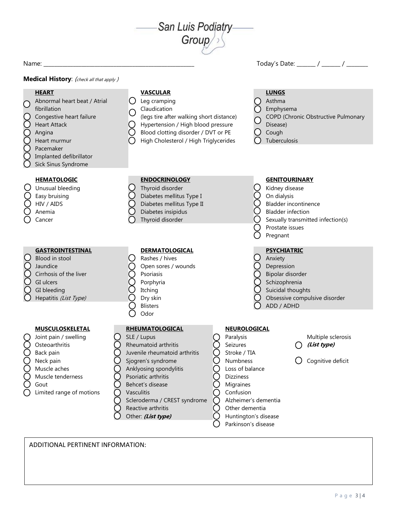

Name: \_\_\_\_\_\_\_\_\_\_\_\_\_\_\_\_\_\_\_\_\_\_\_\_\_\_\_\_\_\_\_\_\_\_\_\_\_\_\_\_\_\_\_\_\_\_\_\_\_\_\_\_\_\_\_\_ Today's Date: \_\_\_\_\_\_\_ / \_\_\_\_\_\_\_ / \_\_\_\_\_\_\_\_

**Medical History:** (check all that apply)

## **HEART VASCULAR LUNGS** Abnormal heart beat / Atrial fibrillation  $\bigcap$  Leg cramping  $\bigcap$  Asthma Claudication (legs tire after walking short distance) Emphysema Congestive heart failure  $\bigcup$  (legs tire after walking short distance)  $\bigcap$  COPD (Chronic Obstructive Pulmonary Heart Attack **Hypertension** / High blood pressure Disease) Angina  $\bigcirc$  Blood clotting disorder / DVT or PE  $\bigcirc$  Cough Heart murmur  $\bigcap$  High Cholesterol / High Triglycerides  $\bigcap$  Tuberculosis Pacemaker Implanted defibrillator Sick Sinus Syndrome **HEMATOLOGIC ENDOCRINOLOGY GENITOURINARY** Unusual bleeding C Thyroid disorder Kidney disease C Kidney disease  $\bigcirc$  Easy bruising  $\bigcirc$  Diabetes mellitus Type I  $\bigcirc$  On dialysis HIV / AIDS  $\bigcirc$  Diabetes mellitus Type II  $\bigcirc$  Bladder incontinence Anemia **Diabetes insipidus** Bladder infection Cancer Sexually transmitted infection(s)  $\bigcirc$  Cancer Sexually transmitted infection(s) Prostate issues Pregnant **GASTROINTESTINAL DERMATOLOGICAL PSYCHIATRIC** ablood in stool and Cause Containing Containing Containing Containing Containing Containing Containing Containing Containing Containing Containing Containing Containing Containing Containing Containing Containing Containin Jaundice  $\bigcap$  Open sores / wounds  $\bigcap$  Depression Cirrhosis of the liver  $\bigcirc$  Psoriasis  $\bigcirc$  Psoriasis  $\bigcirc$  Bipolar disorder GI ulcers  $\bigcap$  Porphyria  $\bigcap$  Schizophrenia GI bleeding  $\bigcirc$  Itching  $\bigcirc$  Suicidal thoughts Hepatitis (List Type)  $O$  Dry skin  $O$  Dry skin  $O$  Obsessive compulsive disorder Blisters  $\bigcap$  ADD / ADHD Odor **MUSCULOSKELETAL RHEUMATOLOGICAL NEUROLOGICAL** Joint pain / swelling  $\bigcirc$  SLE / Lupus  $\bigcirc$  Paralysis  $\bigcirc$  Multiple sclerosis Osteoarthritis **C** Rheumatoid arthritis **C** Seizures **C** (List type) Back pain  $\bigcirc$  Juvenile rheumatoid arthritis  $\bigcirc$  Stroke / TIA Neck pain  $\bigcirc$  Sjogren's syndrome  $\bigcirc$  Numbness  $\bigcirc$  Cognitive deficit Muscle aches  $\bigcap$  Anklyosing spondylitis  $\bigcap$  Loss of balance Muscle tenderness  $\bigcap$  Psoriatic arthritis  $\bigcap$  Dizziness Gout  $\bigcirc$  Behcet's disease  $\bigcirc$  Migraines Limited range of motions  $\bigcap$  Vasculitis  $\bigcap$  Confusion Scleroderma / CREST syndrome  $\bigcap$  Alzheimer's dementia Reactive arthritis (but Computed Computer demential Other: *(List type)*  $\bigcirc$  Huntington's disease Parkinson's disease

ADDITIONAL PERTINENT INFORMATION: